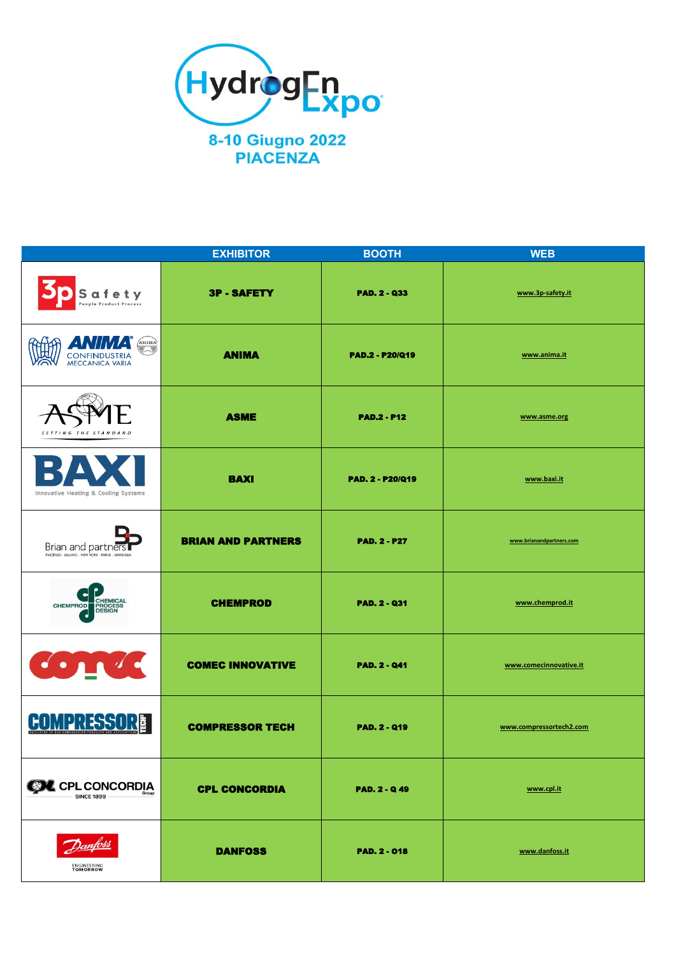

|                                                                         | <b>EXHIBITOR</b>          | <b>BOOTH</b>            | <b>WEB</b>               |
|-------------------------------------------------------------------------|---------------------------|-------------------------|--------------------------|
| Safety<br><b>People Product Process</b>                                 | <b>3P-SAFETY</b>          | <b>PAD. 2 - Q33</b>     | www.3p-safety.it         |
| ANIMA<br><b>CONFINDUSTRIA</b><br><b>MECCANICA VARIA</b>                 | <b>ANIMA</b>              | <b>PAD.2 - P20/Q19</b>  | www.anima.it             |
| SETTING THE STANDARD                                                    | <b>ASME</b>               | <b>PAD.2 - P12</b>      | www.asme.org             |
| Innovative Heating & Cooling Systems                                    | <b>BAXI</b>               | <b>PAD. 2 - P20/Q19</b> | www.baxi.it              |
| Brian and partners<br>PIACENZA - MILANO - NEW YORK - PARIGI - MARSIGLIA | <b>BRIAN AND PARTNERS</b> | <b>PAD. 2 - P27</b>     | www.brianandpartners.com |
| ◄<br>CHEMICAL<br>PROCESS<br>DESIGN<br><b>CHEMPROD</b>                   | <b>CHEMPROD</b>           | <b>PAD. 2 - Q31</b>     | www.chemprod.it          |
| $\bullet$ $\bullet$                                                     | <b>COMEC INNOVATIVE</b>   | <b>PAD. 2 - Q41</b>     | www.comecinnovative.it   |
| <b>COMPRESSOR®</b>                                                      | <b>COMPRESSOR TECH</b>    | <b>PAD. 2 - Q19</b>     | www.compressortech2.com  |
| <b>CON</b> CPL CONCORDIA<br><b>SINCE 1899</b>                           | <b>CPL CONCORDIA</b>      | <b>PAD. 2 - Q49</b>     | www.cpl.it               |
| <b>ENGINEERING</b><br>TOMORROW                                          | <b>DANFOSS</b>            | <b>PAD. 2 - 018</b>     | www.danfoss.it           |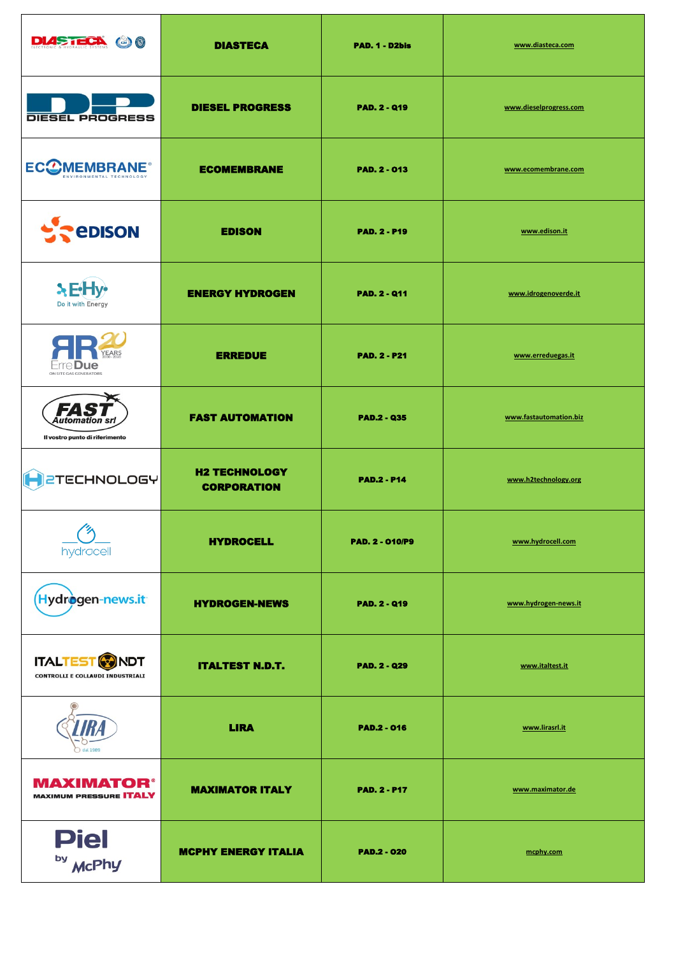| <b>DIASTECA @0</b>                                                   | <b>DIASTECA</b>                            | PAD. 1 - D2bis         | www.diasteca.com       |
|----------------------------------------------------------------------|--------------------------------------------|------------------------|------------------------|
| <b>DIESEL PROGRESS</b>                                               | <b>DIESEL PROGRESS</b>                     | <b>PAD. 2 - Q19</b>    | www.dieselprogress.com |
| <b>ECCMEMBRANE</b><br>ENVIRONMENTAL TECHNOLOGY                       | <b>ECOMEMBRANE</b>                         | <b>PAD. 2 - 013</b>    | www.ecomembrane.com    |
| <b>EXPEDISON</b>                                                     | <b>EDISON</b>                              | <b>PAD. 2 - P19</b>    | www.edison.it          |
| $E$ Hy<br>Do it with Energy                                          | <b>ENERGY HYDROGEN</b>                     | <b>PAD. 2 - Q11</b>    | www.idrogenoverde.it   |
| <b>YEARS</b><br>ON SITE GAS GENERATORS                               | <b>ERREDUE</b>                             | <b>PAD. 2 - P21</b>    | www.erreduegas.it      |
| FAS<br>Automation srl<br>Il vostro punto di riferimento              | <b>FAST AUTOMATION</b>                     | <b>PAD.2 - Q35</b>     | www.fastautomation.biz |
| <b>2TECHNOLOGY</b>                                                   | <b>H2 TECHNOLOGY</b><br><b>CORPORATION</b> | <b>PAD.2 - P14</b>     | www.h2technology.org   |
| PY<br>hydrocell                                                      | <b>HYDROCELL</b>                           | <b>PAD. 2 - 010/P9</b> | www.hydrocell.com      |
| Hydrogen-news.it                                                     | <b>HYDROGEN-NEWS</b>                       | <b>PAD. 2 - Q19</b>    | www.hydrogen-news.it   |
| <b>ITALTEST &amp; NDT</b><br><b>CONTROLLI E COLLAUDI INDUSTRIALI</b> | <b>ITALTEST N.D.T.</b>                     | <b>PAD. 2 - Q29</b>    | www.italtest.it        |
| dal 1989                                                             | <b>LIRA</b>                                | <b>PAD.2 - 016</b>     | www.lirasrl.it         |
| <b>MAXIMATOR®</b><br><b>MAXIMUM PRESSURE ITALY</b>                   | <b>MAXIMATOR ITALY</b>                     | <b>PAD. 2 - P17</b>    | www.maximator.de       |
| <b>Piel</b><br>by McPhy                                              | <b>MCPHY ENERGY ITALIA</b>                 | <b>PAD.2 - 020</b>     | mcphy.com              |